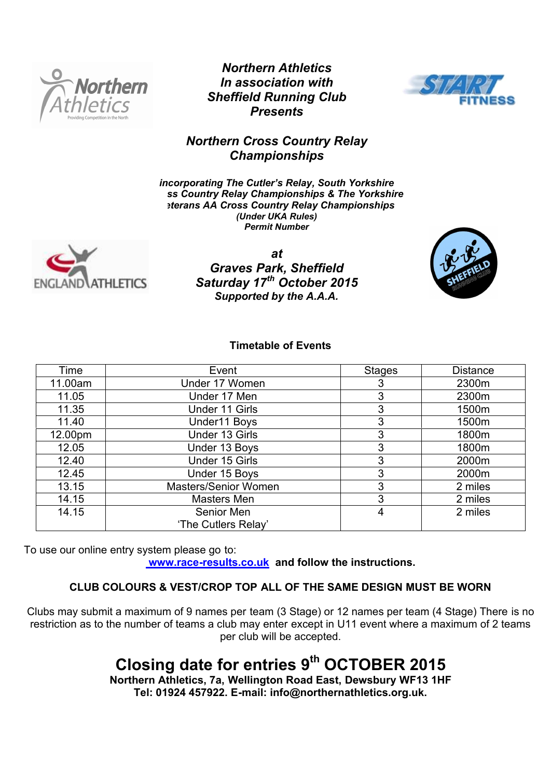

*Northern Athletics In association with Sheffield Running Club Presents*



## *Northern Cross Country Relay Championships*

*incorporating The Cutler's Relay, South Yorkshire Cross Country Relay Championships & The Yorkshire Veterans AA Cross Country Relay Championships (Under UKA Rules) Permit Number* 



*at Graves Park, Sheffield Saturday 17th October 2015 Supported by the A.A.A.*



## **Timetable of Events**

| Time    | Event                 | <b>Stages</b> | <b>Distance</b> |
|---------|-----------------------|---------------|-----------------|
| 11.00am | Under 17 Women        | 3             | 2300m           |
| 11.05   | Under 17 Men          | 3             | 2300m           |
| 11.35   | <b>Under 11 Girls</b> | 3             | 1500m           |
| 11.40   | Under11 Boys          | 3             | 1500m           |
| 12.00pm | Under 13 Girls        | 3             | 1800m           |
| 12.05   | Under 13 Boys         | 3             | 1800m           |
| 12.40   | Under 15 Girls        | 3             | 2000m           |
| 12.45   | Under 15 Boys         | 3             | 2000m           |
| 13.15   | Masters/Senior Women  | 3             | 2 miles         |
| 14.15   | Masters Men           | 3             | 2 miles         |
| 14.15   | Senior Men            | 4             | 2 miles         |
|         | 'The Cutlers Relay'   |               |                 |

To use our online entry system please go to:  **www.race-results.co.uk and follow the instructions.**

## **CLUB COLOURS & VEST/CROP TOP ALL OF THE SAME DESIGN MUST BE WORN**

Clubs may submit a maximum of 9 names per team (3 Stage) or 12 names per team (4 Stage) There is no restriction as to the number of teams a club may enter except in U11 event where a maximum of 2 teams per club will be accepted.

# **Closing date for entries 9th OCTOBER 2015**

**Northern Athletics, 7a, Wellington Road East, Dewsbury WF13 1HF Tel: 01924 457922. E-mail: info@northernathletics.org.uk.**